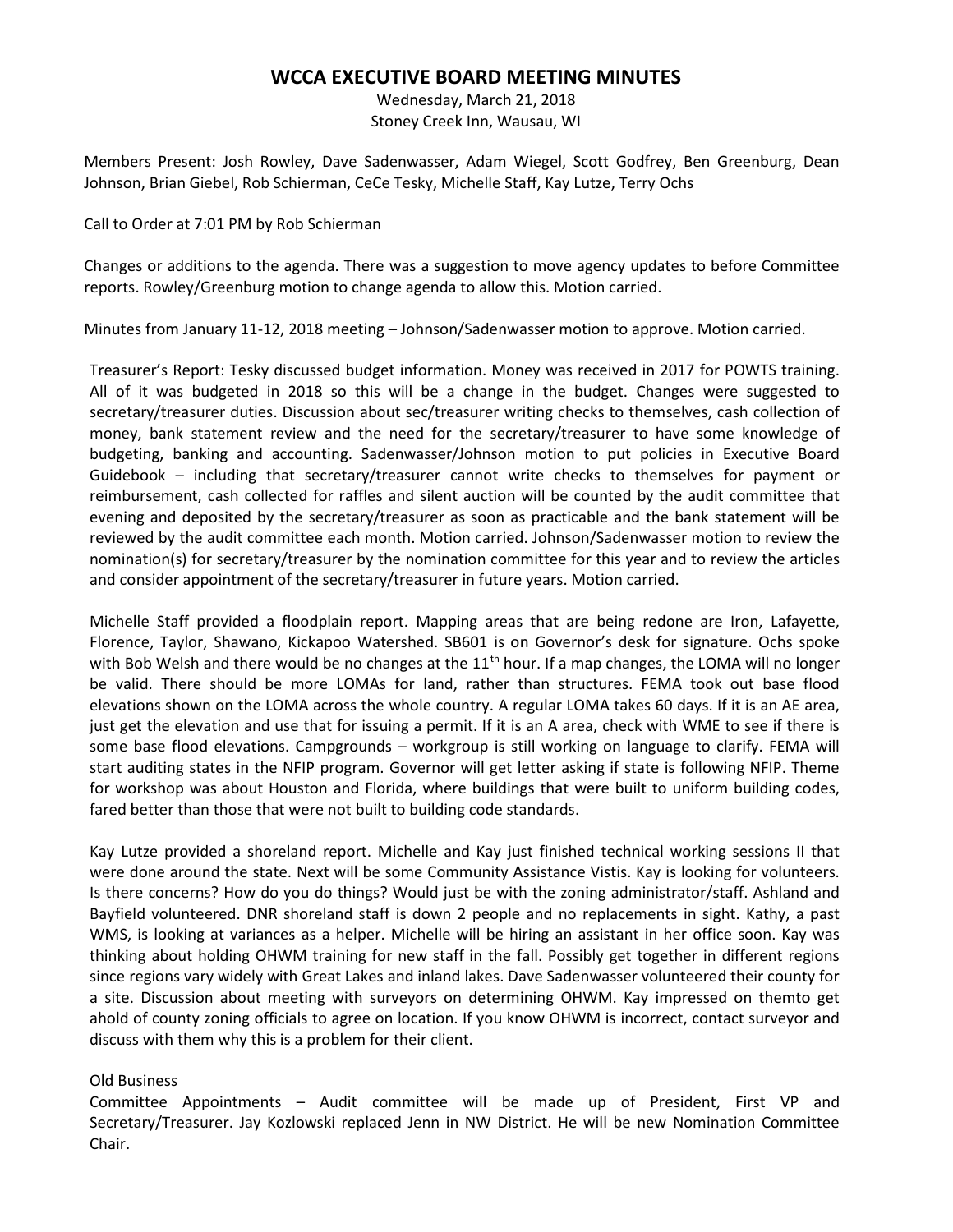## WCCA EXECUTIVE BOARD MEETING MINUTES

Wednesday, March 21, 2018 Stoney Creek Inn, Wausau, WI

Members Present: Josh Rowley, Dave Sadenwasser, Adam Wiegel, Scott Godfrey, Ben Greenburg, Dean Johnson, Brian Giebel, Rob Schierman, CeCe Tesky, Michelle Staff, Kay Lutze, Terry Ochs

Call to Order at 7:01 PM by Rob Schierman

Changes or additions to the agenda. There was a suggestion to move agency updates to before Committee reports. Rowley/Greenburg motion to change agenda to allow this. Motion carried.

Minutes from January 11-12, 2018 meeting – Johnson/Sadenwasser motion to approve. Motion carried.

Treasurer's Report: Tesky discussed budget information. Money was received in 2017 for POWTS training. All of it was budgeted in 2018 so this will be a change in the budget. Changes were suggested to secretary/treasurer duties. Discussion about sec/treasurer writing checks to themselves, cash collection of money, bank statement review and the need for the secretary/treasurer to have some knowledge of budgeting, banking and accounting. Sadenwasser/Johnson motion to put policies in Executive Board Guidebook – including that secretary/treasurer cannot write checks to themselves for payment or reimbursement, cash collected for raffles and silent auction will be counted by the audit committee that evening and deposited by the secretary/treasurer as soon as practicable and the bank statement will be reviewed by the audit committee each month. Motion carried. Johnson/Sadenwasser motion to review the nomination(s) for secretary/treasurer by the nomination committee for this year and to review the articles and consider appointment of the secretary/treasurer in future years. Motion carried.

Michelle Staff provided a floodplain report. Mapping areas that are being redone are Iron, Lafayette, Florence, Taylor, Shawano, Kickapoo Watershed. SB601 is on Governor's desk for signature. Ochs spoke with Bob Welsh and there would be no changes at the  $11<sup>th</sup>$  hour. If a map changes, the LOMA will no longer be valid. There should be more LOMAs for land, rather than structures. FEMA took out base flood elevations shown on the LOMA across the whole country. A regular LOMA takes 60 days. If it is an AE area, just get the elevation and use that for issuing a permit. If it is an A area, check with WME to see if there is some base flood elevations. Campgrounds – workgroup is still working on language to clarify. FEMA will start auditing states in the NFIP program. Governor will get letter asking if state is following NFIP. Theme for workshop was about Houston and Florida, where buildings that were built to uniform building codes, fared better than those that were not built to building code standards.

Kay Lutze provided a shoreland report. Michelle and Kay just finished technical working sessions II that were done around the state. Next will be some Community Assistance Vistis. Kay is looking for volunteers. Is there concerns? How do you do things? Would just be with the zoning administrator/staff. Ashland and Bayfield volunteered. DNR shoreland staff is down 2 people and no replacements in sight. Kathy, a past WMS, is looking at variances as a helper. Michelle will be hiring an assistant in her office soon. Kay was thinking about holding OHWM training for new staff in the fall. Possibly get together in different regions since regions vary widely with Great Lakes and inland lakes. Dave Sadenwasser volunteered their county for a site. Discussion about meeting with surveyors on determining OHWM. Kay impressed on themto get ahold of county zoning officials to agree on location. If you know OHWM is incorrect, contact surveyor and discuss with them why this is a problem for their client.

## Old Business

Committee Appointments – Audit committee will be made up of President, First VP and Secretary/Treasurer. Jay Kozlowski replaced Jenn in NW District. He will be new Nomination Committee Chair.